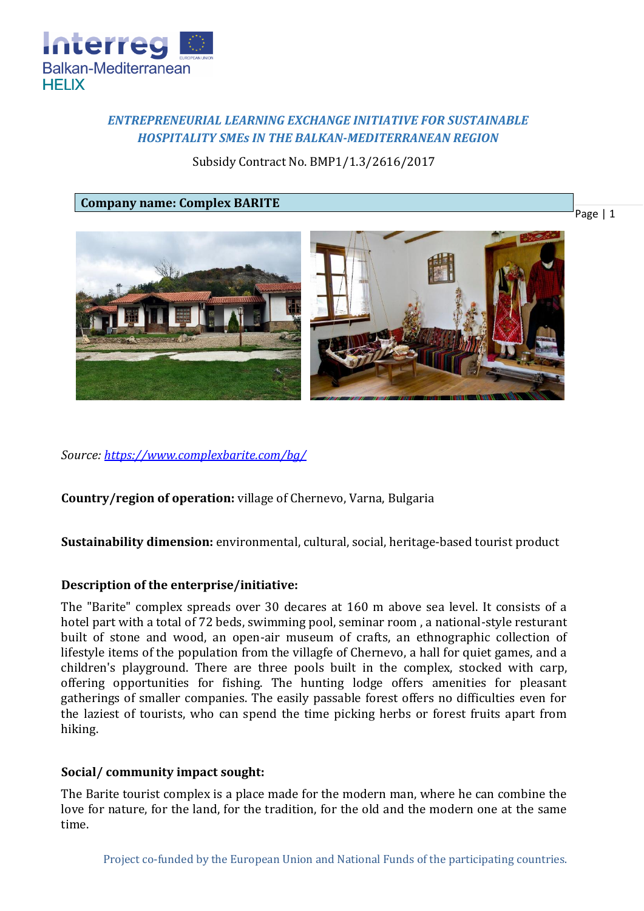

# *ENTREPRENEURIAL LEARNING EXCHANGE INITIATIVE FOR SUSTAINABLE HOSPITALITY SMEs IN THE BALKAN-MEDITERRANEAN REGION*

Subsidy Contract No. BMP1/1.3/2616/2017

**Company name: Complex BARITE**





*Source:<https://www.complexbarite.com/bg/>*

**Country/region of operation:** village of Chernevo, Varna, Bulgaria

**Sustainability dimension:** environmental, cultural, social, heritage-based tourist product

## **Description of the enterprise/initiative:**

The "Barite" complex spreads over 30 decares at 160 m above sea level. It consists of a hotel part with a total of 72 beds, swimming pool, seminar room , a national-style resturant built of stone and wood, an open-air museum of crafts, an ethnographic collection of lifestyle items of the population from the villagfe of Chernevo, a hall for quiet games, and a children's playground. There are three pools built in the complex, stocked with carp, offering opportunities for fishing. The hunting lodge offers amenities for pleasant gatherings of smaller companies. The easily passable forest offers no difficulties even for the laziest of tourists, who can spend the time picking herbs or forest fruits apart from hiking.

## **Social/ community impact sought:**

The Barite tourist complex is a place made for the modern man, where he can combine the love for nature, for the land, for the tradition, for the old and the modern one at the same time.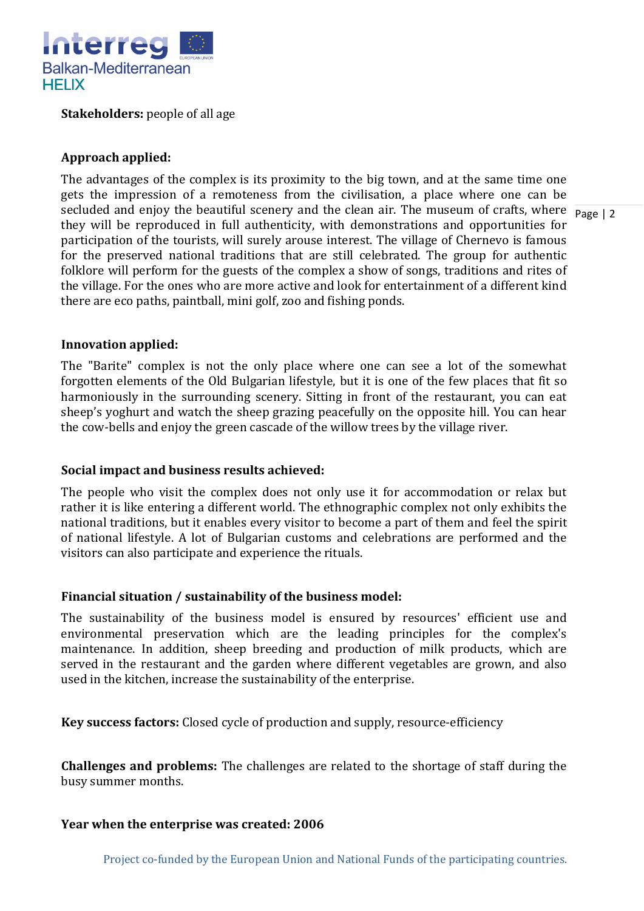

**Stakeholders:** people of all age

## **Approach applied:**

secluded and enjoy the beautiful scenery and the clean air. The museum of crafts, where  $\frac{1}{\text{Page } |2}$ The advantages of the complex is its proximity to the big town, and at the same time one gets the impression of a remoteness from the civilisation, a place where one can be they will be reproduced in full authenticity, with demonstrations and opportunities for participation of the tourists, will surely arouse interest. The village of Chernevo is famous for the preserved national traditions that are still celebrated. The group for authentic folklore will perform for the guests of the complex a show of songs, traditions and rites of the village. For the ones who are more active and look for entertainment of a different kind there are eco paths, paintball, mini golf, zoo and fishing ponds.

### **Innovation applied:**

The "Barite" complex is not the only place where one can see a lot of the somewhat forgotten elements of the Old Bulgarian lifestyle, but it is one of the few places that fit so harmoniously in the surrounding scenery. Sitting in front of the restaurant, you can eat sheep's yoghurt and watch the sheep grazing peacefully on the opposite hill. You can hear the cow-bells and enjoy the green cascade of the willow trees by the village river.

### **Social impact and business results achieved:**

The people who visit the complex does not only use it for accommodation or relax but rather it is like entering a different world. The ethnographic complex not only exhibits the national traditions, but it enables every visitor to become a part of them and feel the spirit of national lifestyle. A lot of Bulgarian customs and celebrations are performed and the visitors can also participate and experience the rituals.

## **Financial situation / sustainability of the business model:**

The sustainability of the business model is ensured by resources' efficient use and environmental preservation which are the leading principles for the complex's maintenance. In addition, sheep breeding and production of milk products, which are served in the restaurant and the garden where different vegetables are grown, and also used in the kitchen, increase the sustainability of the enterprise.

**Key success factors:** Closed cycle of production and supply, resource-efficiency

**Challenges and problems:** The challenges are related to the shortage of staff during the busy summer months.

### **Year when the enterprise was created: 2006**